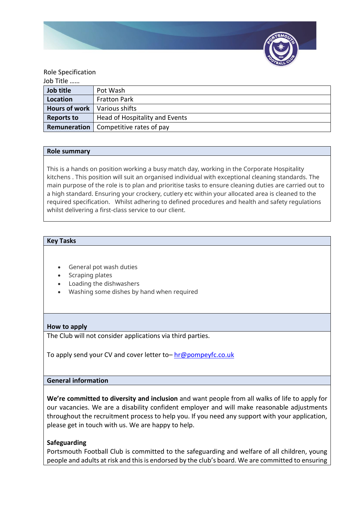

### Role Specification

| Job Title            |                                |
|----------------------|--------------------------------|
| Job title            | Pot Wash                       |
| Location             | <b>Fratton Park</b>            |
| <b>Hours of work</b> | Various shifts                 |
| <b>Reports to</b>    | Head of Hospitality and Events |
| Remuneration         | Competitive rates of pay       |

### **Role summary**

This is a hands on position working a busy match day, working in the Corporate Hospitality kitchens . This position will suit an organised individual with exceptional cleaning standards. The main purpose of the role is to plan and prioritise tasks to ensure cleaning duties are carried out to a high standard. Ensuring your crockery, cutlery etc within your allocated area is cleaned to the required specification. Whilst adhering to defined procedures and health and safety regulations whilst delivering a first-class service to our client.

### **Key Tasks**

- General pot wash duties
- Scraping plates
- Loading the dishwashers
- Washing some dishes by hand when required

## **How to apply**

The Club will not consider applications via third parties.

To apply send your CV and cover letter to– [hr@pompeyfc.co.uk](mailto:hr@pompeyfc.co.uk)

# **General information**

**We're committed to diversity and inclusion** and want people from all walks of life to apply for our vacancies. We are a disability confident employer and will make reasonable adjustments throughout the recruitment process to help you. If you need any support with your application, please get in touch with us. We are happy to help.

### **Safeguarding**

Portsmouth Football Club is committed to the safeguarding and welfare of all children, young people and adults at risk and this is endorsed by the club's board. We are committed to ensuring